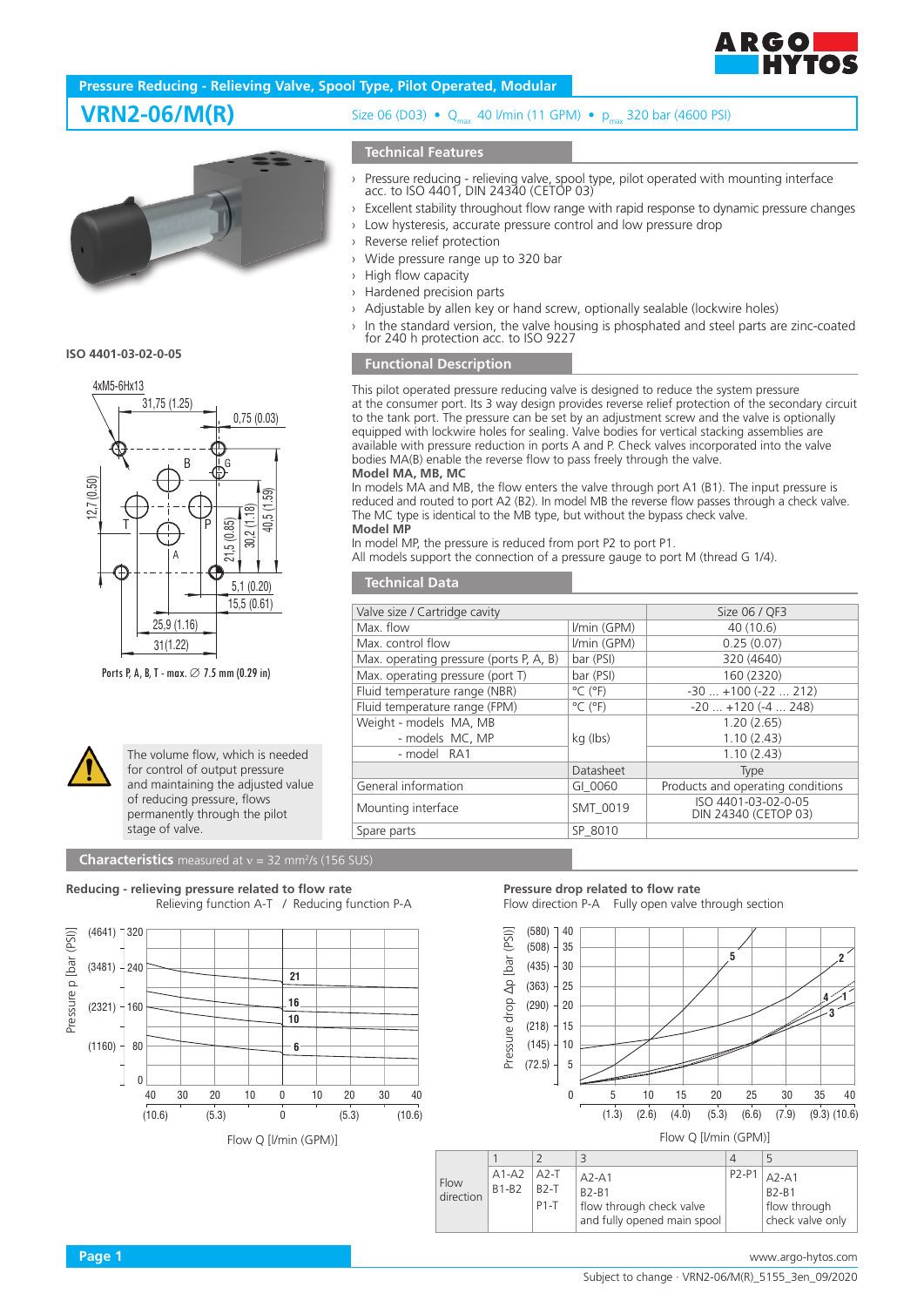

## **Pressure Reducing - Relieving Valve, Spool Type, Pilot Operated, Modular**





Ports P, A, B, T - max.  $\varnothing$  7.5 mm (0.29 in)



The volume flow, which is needed for control of output pressure and maintaining the adjusted value of reducing pressure, flows permanently through the pilot stage of valve.

#### **Characteristics** measured at  $v = 32$  mm<sup>2</sup>/s (156 SUS)

**Reducing - relieving pressure related to flow rate**





# **VRN2-06/M(R)** Size 06 (D03) • Q<sub>max</sub> 40 l/min (11 GPM) • p<sub>max</sub> 320 bar (4600 PSI)

### **Technical Features**

- › Pressure reducing relieving valve, spool type, pilot operated with mounting interface acc. to ISO 4401, DIN 24340 (CETOP 03)
- › Excellent stability throughout flow range with rapid response to dynamic pressure changes › Low hysteresis, accurate pressure control and low pressure drop
- › Reverse relief protection
- › Wide pressure range up to 320 bar
- › High flow capacity
- › Hardened precision parts
- › Adjustable by allen key or hand screw, optionally sealable (lockwire holes)
- In the standard version, the valve housing is phosphated and steel parts are zinc-coated for 240 h protection acc. to ISO 9227

## **Functional Description**

This pilot operated pressure reducing valve is designed to reduce the system pressure at the consumer port. Its 3 way design provides reverse relief protection of the secondary circuit to the tank port. The pressure can be set by an adjustment screw and the valve is optionally equipped with lockwire holes for sealing. Valve bodies for vertical stacking assemblies are available with pressure reduction in ports A and P. Check valves incorporated into the valve bodies MA(B) enable the reverse flow to pass freely through the valve.

#### **Model MA, MB, MC**

In models MA and MB, the flow enters the valve through port A1 (B1). The input pressure is reduced and routed to port A2 (B2). In model MB the reverse flow passes through a check valve. The MC type is identical to the MB type, but without the bypass check valve. **Model MP**

In model MP, the pressure is reduced from port P2 to port P1.

All models support the connection of a pressure gauge to port M (thread G 1/4).

### **Technical Data**

| Valve size / Cartridge cavity           | Size 06 / QF3                |                                             |  |
|-----------------------------------------|------------------------------|---------------------------------------------|--|
| Max. flow                               | I/min (GPM)                  | 40 (10.6)                                   |  |
| Max. control flow                       | I/min (GPM)                  | 0.25(0.07)                                  |  |
| Max. operating pressure (ports P, A, B) | bar (PSI)                    | 320 (4640)                                  |  |
| Max. operating pressure (port T)        | bar (PSI)                    | 160 (2320)                                  |  |
| Fluid temperature range (NBR)           | $^{\circ}$ C ( $^{\circ}$ F) | $-30$ $+100$ ( $-22$ 212)                   |  |
| Fluid temperature range (FPM)           | $^{\circ}$ C ( $^{\circ}$ F) | $-20$ $+120$ ( $-4$ 248)                    |  |
| Weight - models MA, MB                  |                              | 1.20(2.65)                                  |  |
| - models MC, MP                         | kg (lbs)                     | 1.10(2.43)                                  |  |
| - model RA1                             |                              | 1.10(2.43)                                  |  |
|                                         | Datasheet                    | <b>Type</b>                                 |  |
| General information                     | GI 0060                      | Products and operating conditions           |  |
| Mounting interface                      | SMT 0019                     | ISO 4401-03-02-0-05<br>DIN 24340 (CETOP 03) |  |
| Spare parts                             | SP 8010                      |                                             |  |

#### **Pressure drop related to flow rate** Flow direction P-A Fully open valve through section



| Flow<br>direction | $A1-A2$ $A2-T$<br>$B1-B2$ | $R2-T$<br>$P1 - T$ | $A2-A1$<br><b>B2-B1</b><br>flow through check valve<br>and fully opened main spool | $ P2-P1 _{A2-A1}$<br><b>B2-B1</b><br>flow through<br>check valve only |
|-------------------|---------------------------|--------------------|------------------------------------------------------------------------------------|-----------------------------------------------------------------------|